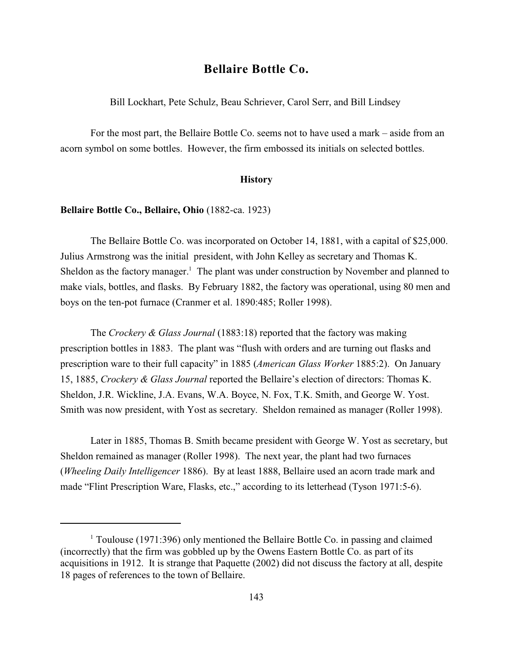# **Bellaire Bottle Co.**

Bill Lockhart, Pete Schulz, Beau Schriever, Carol Serr, and Bill Lindsey

For the most part, the Bellaire Bottle Co. seems not to have used a mark – aside from an acorn symbol on some bottles. However, the firm embossed its initials on selected bottles.

### **History**

#### **Bellaire Bottle Co., Bellaire, Ohio** (1882-ca. 1923)

The Bellaire Bottle Co. was incorporated on October 14, 1881, with a capital of \$25,000. Julius Armstrong was the initial president, with John Kelley as secretary and Thomas K. Sheldon as the factory manager.<sup>1</sup> The plant was under construction by November and planned to make vials, bottles, and flasks. By February 1882, the factory was operational, using 80 men and boys on the ten-pot furnace (Cranmer et al. 1890:485; Roller 1998).

The *Crockery & Glass Journal* (1883:18) reported that the factory was making prescription bottles in 1883. The plant was "flush with orders and are turning out flasks and prescription ware to their full capacity" in 1885 (*American Glass Worker* 1885:2). On January 15, 1885, *Crockery & Glass Journal* reported the Bellaire's election of directors: Thomas K. Sheldon, J.R. Wickline, J.A. Evans, W.A. Boyce, N. Fox, T.K. Smith, and George W. Yost. Smith was now president, with Yost as secretary. Sheldon remained as manager (Roller 1998).

Later in 1885, Thomas B. Smith became president with George W. Yost as secretary, but Sheldon remained as manager (Roller 1998). The next year, the plant had two furnaces (*Wheeling Daily Intelligencer* 1886). By at least 1888, Bellaire used an acorn trade mark and made "Flint Prescription Ware, Flasks, etc.," according to its letterhead (Tyson 1971:5-6).

 $1$  Toulouse (1971:396) only mentioned the Bellaire Bottle Co. in passing and claimed (incorrectly) that the firm was gobbled up by the Owens Eastern Bottle Co. as part of its acquisitions in 1912. It is strange that Paquette (2002) did not discuss the factory at all, despite 18 pages of references to the town of Bellaire.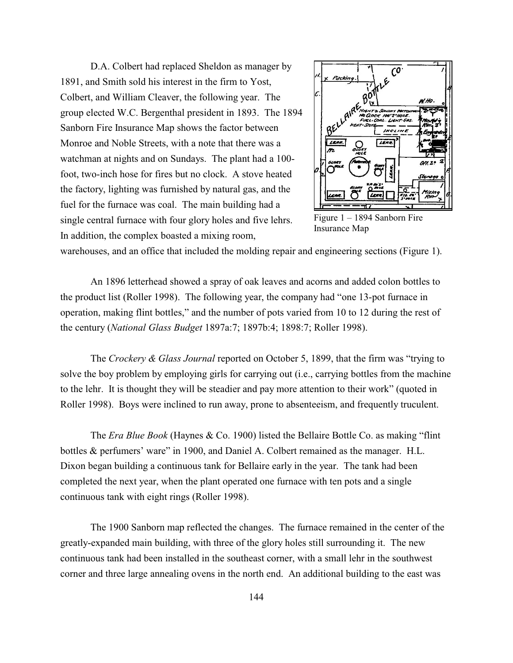D.A. Colbert had replaced Sheldon as manager by 1891, and Smith sold his interest in the firm to Yost, Colbert, and William Cleaver, the following year. The group elected W.C. Bergenthal president in 1893. The 1894 Sanborn Fire Insurance Map shows the factor between Monroe and Noble Streets, with a note that there was a watchman at nights and on Sundays. The plant had a 100 foot, two-inch hose for fires but no clock. A stove heated the factory, lighting was furnished by natural gas, and the fuel for the furnace was coal. The main building had a single central furnace with four glory holes and five lehrs. In addition, the complex boasted a mixing room,



Figure 1 – 1894 Sanborn Fire Insurance Map

warehouses, and an office that included the molding repair and engineering sections (Figure 1).

An 1896 letterhead showed a spray of oak leaves and acorns and added colon bottles to the product list (Roller 1998). The following year, the company had "one 13-pot furnace in operation, making flint bottles," and the number of pots varied from 10 to 12 during the rest of the century (*National Glass Budget* 1897a:7; 1897b:4; 1898:7; Roller 1998).

The *Crockery & Glass Journal* reported on October 5, 1899, that the firm was "trying to solve the boy problem by employing girls for carrying out (i.e., carrying bottles from the machine to the lehr. It is thought they will be steadier and pay more attention to their work" (quoted in Roller 1998). Boys were inclined to run away, prone to absenteeism, and frequently truculent.

The *Era Blue Book* (Haynes & Co. 1900) listed the Bellaire Bottle Co. as making "flint bottles & perfumers' ware" in 1900, and Daniel A. Colbert remained as the manager. H.L. Dixon began building a continuous tank for Bellaire early in the year. The tank had been completed the next year, when the plant operated one furnace with ten pots and a single continuous tank with eight rings (Roller 1998).

The 1900 Sanborn map reflected the changes. The furnace remained in the center of the greatly-expanded main building, with three of the glory holes still surrounding it. The new continuous tank had been installed in the southeast corner, with a small lehr in the southwest corner and three large annealing ovens in the north end. An additional building to the east was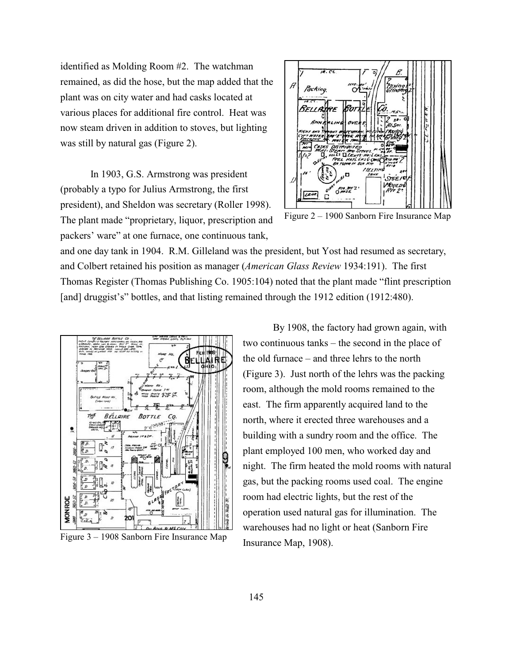identified as Molding Room #2. The watchman remained, as did the hose, but the map added that the plant was on city water and had casks located at various places for additional fire control. Heat was now steam driven in addition to stoves, but lighting was still by natural gas (Figure 2).

In 1903, G.S. Armstrong was president (probably a typo for Julius Armstrong, the first president), and Sheldon was secretary (Roller 1998). The plant made "proprietary, liquor, prescription and packers' ware" at one furnace, one continuous tank,



Figure 2 – 1900 Sanborn Fire Insurance Map

and one day tank in 1904. R.M. Gilleland was the president, but Yost had resumed as secretary, and Colbert retained his position as manager (*American Glass Review* 1934:191). The first Thomas Register (Thomas Publishing Co. 1905:104) noted that the plant made "flint prescription [and] druggist's" bottles, and that listing remained through the 1912 edition (1912:480).



Figure 3 – 1908 Sanborn Fire Insurance Map

By 1908, the factory had grown again, with two continuous tanks – the second in the place of the old furnace – and three lehrs to the north (Figure 3). Just north of the lehrs was the packing room, although the mold rooms remained to the east. The firm apparently acquired land to the north, where it erected three warehouses and a building with a sundry room and the office. The plant employed 100 men, who worked day and night. The firm heated the mold rooms with natural gas, but the packing rooms used coal. The engine room had electric lights, but the rest of the operation used natural gas for illumination. The warehouses had no light or heat (Sanborn Fire Insurance Map, 1908).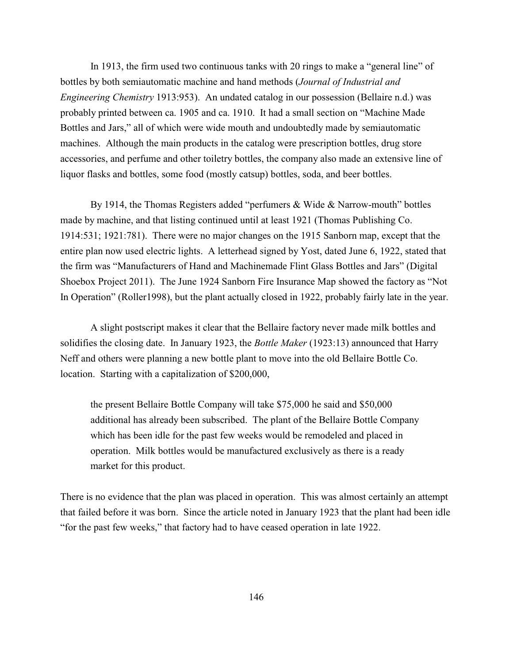In 1913, the firm used two continuous tanks with 20 rings to make a "general line" of bottles by both semiautomatic machine and hand methods (*Journal of Industrial and Engineering Chemistry* 1913:953). An undated catalog in our possession (Bellaire n.d.) was probably printed between ca. 1905 and ca. 1910. It had a small section on "Machine Made Bottles and Jars," all of which were wide mouth and undoubtedly made by semiautomatic machines. Although the main products in the catalog were prescription bottles, drug store accessories, and perfume and other toiletry bottles, the company also made an extensive line of liquor flasks and bottles, some food (mostly catsup) bottles, soda, and beer bottles.

By 1914, the Thomas Registers added "perfumers & Wide & Narrow-mouth" bottles made by machine, and that listing continued until at least 1921 (Thomas Publishing Co. 1914:531; 1921:781). There were no major changes on the 1915 Sanborn map, except that the entire plan now used electric lights. A letterhead signed by Yost, dated June 6, 1922, stated that the firm was "Manufacturers of Hand and Machinemade Flint Glass Bottles and Jars" (Digital Shoebox Project 2011). The June 1924 Sanborn Fire Insurance Map showed the factory as "Not In Operation" (Roller1998), but the plant actually closed in 1922, probably fairly late in the year.

A slight postscript makes it clear that the Bellaire factory never made milk bottles and solidifies the closing date. In January 1923, the *Bottle Maker* (1923:13) announced that Harry Neff and others were planning a new bottle plant to move into the old Bellaire Bottle Co. location. Starting with a capitalization of \$200,000,

the present Bellaire Bottle Company will take \$75,000 he said and \$50,000 additional has already been subscribed. The plant of the Bellaire Bottle Company which has been idle for the past few weeks would be remodeled and placed in operation. Milk bottles would be manufactured exclusively as there is a ready market for this product.

There is no evidence that the plan was placed in operation. This was almost certainly an attempt that failed before it was born. Since the article noted in January 1923 that the plant had been idle "for the past few weeks," that factory had to have ceased operation in late 1922.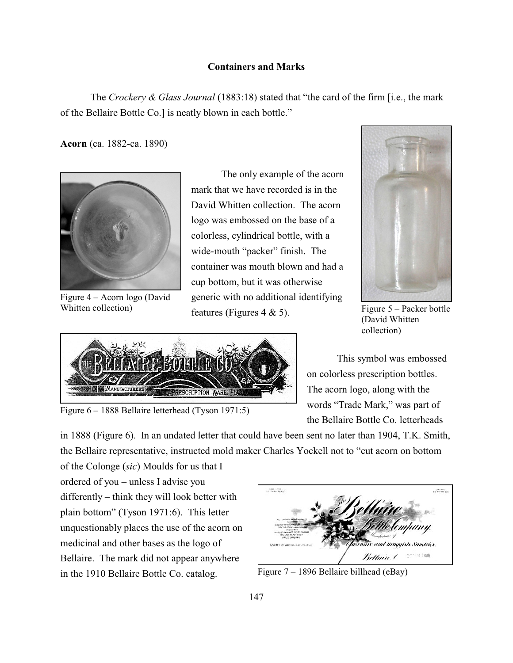## **Containers and Marks**

The *Crockery & Glass Journal* (1883:18) stated that "the card of the firm [i.e., the mark of the Bellaire Bottle Co.] is neatly blown in each bottle."

**Acorn** (ca. 1882-ca. 1890)



Figure 4 – Acorn logo (David Whitten collection)

The only example of the acorn mark that we have recorded is in the David Whitten collection. The acorn logo was embossed on the base of a colorless, cylindrical bottle, with a wide-mouth "packer" finish. The container was mouth blown and had a cup bottom, but it was otherwise generic with no additional identifying features (Figures  $4 \& 5$ ).



Figure 6 – 1888 Bellaire letterhead (Tyson 1971:5)



Figure 5 – Packer bottle (David Whitten collection)

This symbol was embossed on colorless prescription bottles. The acorn logo, along with the words "Trade Mark," was part of the Bellaire Bottle Co. letterheads

in 1888 (Figure 6). In an undated letter that could have been sent no later than 1904, T.K. Smith, the Bellaire representative, instructed mold maker Charles Yockell not to "cut acorn on bottom

of the Colonge (*sic*) Moulds for us that I ordered of you – unless I advise you differently – think they will look better with plain bottom" (Tyson 1971:6). This letter unquestionably places the use of the acorn on medicinal and other bases as the logo of Bellaire. The mark did not appear anywhere in the 1910 Bellaire Bottle Co. catalog.



Figure 7 – 1896 Bellaire billhead (eBay)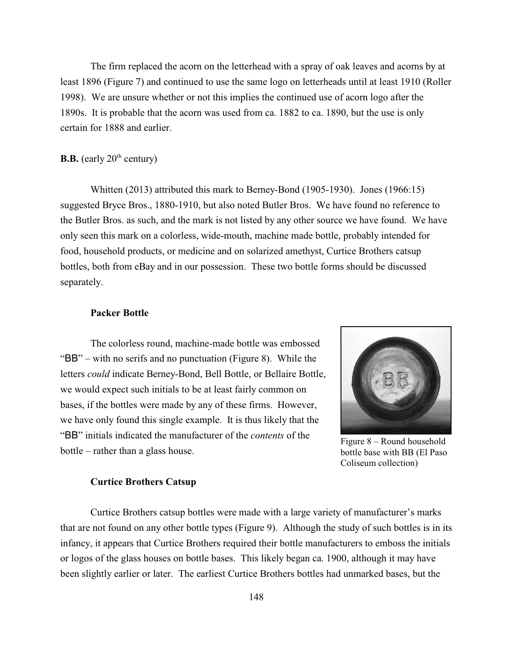The firm replaced the acorn on the letterhead with a spray of oak leaves and acorns by at least 1896 (Figure 7) and continued to use the same logo on letterheads until at least 1910 (Roller 1998). We are unsure whether or not this implies the continued use of acorn logo after the 1890s. It is probable that the acorn was used from ca. 1882 to ca. 1890, but the use is only certain for 1888 and earlier.

### **B.B.** (early  $20<sup>th</sup>$  century)

Whitten (2013) attributed this mark to Berney-Bond (1905-1930). Jones (1966:15) suggested Bryce Bros., 1880-1910, but also noted Butler Bros. We have found no reference to the Butler Bros. as such, and the mark is not listed by any other source we have found. We have only seen this mark on a colorless, wide-mouth, machine made bottle, probably intended for food, household products, or medicine and on solarized amethyst, Curtice Brothers catsup bottles, both from eBay and in our possession. These two bottle forms should be discussed separately.

### **Packer Bottle**

The colorless round, machine-made bottle was embossed "BB" – with no serifs and no punctuation (Figure 8). While the letters *could* indicate Berney-Bond, Bell Bottle, or Bellaire Bottle, we would expect such initials to be at least fairly common on bases, if the bottles were made by any of these firms. However, we have only found this single example. It is thus likely that the "BB" initials indicated the manufacturer of the *contents* of the bottle – rather than a glass house.



Figure 8 – Round household bottle base with BB (El Paso Coliseum collection)

#### **Curtice Brothers Catsup**

Curtice Brothers catsup bottles were made with a large variety of manufacturer's marks that are not found on any other bottle types (Figure 9). Although the study of such bottles is in its infancy, it appears that Curtice Brothers required their bottle manufacturers to emboss the initials or logos of the glass houses on bottle bases. This likely began ca. 1900, although it may have been slightly earlier or later. The earliest Curtice Brothers bottles had unmarked bases, but the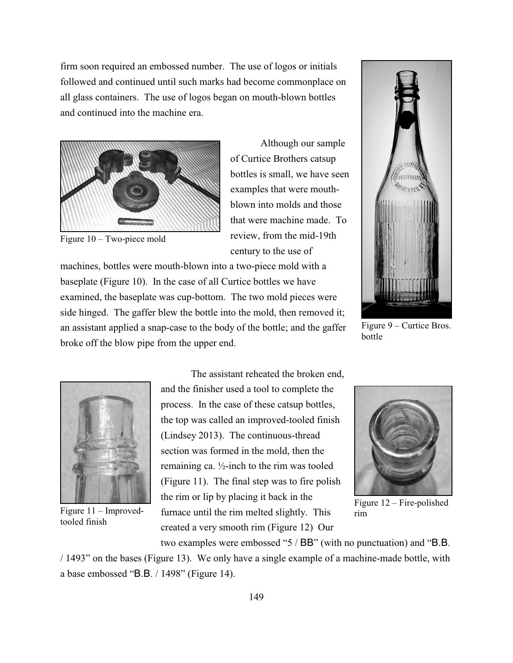firm soon required an embossed number. The use of logos or initials followed and continued until such marks had become commonplace on all glass containers. The use of logos began on mouth-blown bottles and continued into the machine era.



Figure 10 – Two-piece mold

Although our sample of Curtice Brothers catsup bottles is small, we have seen examples that were mouthblown into molds and those that were machine made. To review, from the mid-19th century to the use of

machines, bottles were mouth-blown into a two-piece mold with a baseplate (Figure 10). In the case of all Curtice bottles we have examined, the baseplate was cup-bottom. The two mold pieces were side hinged. The gaffer blew the bottle into the mold, then removed it; an assistant applied a snap-case to the body of the bottle; and the gaffer broke off the blow pipe from the upper end.



Figure 9 – Curtice Bros. bottle



Figure 11 – Improvedtooled finish

The assistant reheated the broken end, and the finisher used a tool to complete the process. In the case of these catsup bottles, the top was called an improved-tooled finish (Lindsey 2013). The continuous-thread section was formed in the mold, then the remaining ca.  $\frac{1}{2}$ -inch to the rim was tooled (Figure 11). The final step was to fire polish the rim or lip by placing it back in the furnace until the rim melted slightly. This created a very smooth rim (Figure 12) Our



Figure 12 – Fire-polished rim

two examples were embossed "5 / BB" (with no punctuation) and "B.B.

/ 1493" on the bases (Figure 13). We only have a single example of a machine-made bottle, with a base embossed "B.B. / 1498" (Figure 14).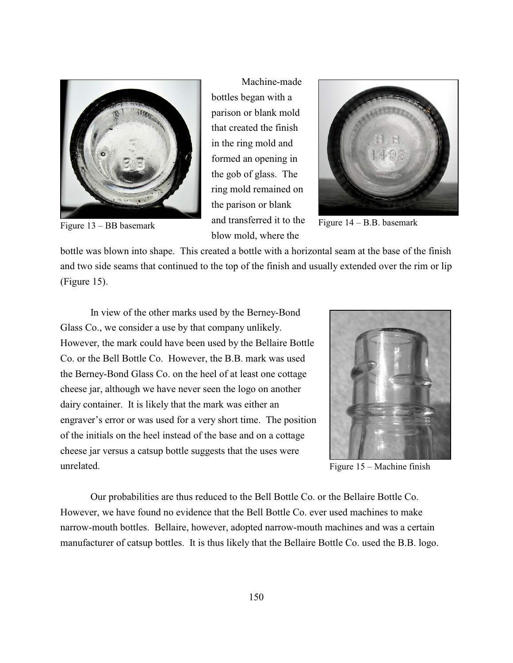

Machine-made bottles began with a parison or blank mold that created the finish in the ring mold and formed an opening in the gob of glass. The ring mold remained on the parison or blank and transferred it to the blow mold, where the Figure 13 – BB basemark and transferred it to the Figure 14 – B.B. basemark



bottle was blown into shape. This created a bottle with a horizontal seam at the base of the finish and two side seams that continued to the top of the finish and usually extended over the rim or lip (Figure 15).

In view of the other marks used by the Berney-Bond Glass Co., we consider a use by that company unlikely. However, the mark could have been used by the Bellaire Bottle Co. or the Bell Bottle Co. However, the B.B. mark was used the Berney-Bond Glass Co. on the heel of at least one cottage cheese jar, although we have never seen the logo on another dairy container. It is likely that the mark was either an engraver's error or was used for a very short time. The position of the initials on the heel instead of the base and on a cottage cheese jar versus a catsup bottle suggests that the uses were unrelated.



Figure 15 – Machine finish

Our probabilities are thus reduced to the Bell Bottle Co. or the Bellaire Bottle Co. However, we have found no evidence that the Bell Bottle Co. ever used machines to make narrow-mouth bottles. Bellaire, however, adopted narrow-mouth machines and was a certain manufacturer of catsup bottles. It is thus likely that the Bellaire Bottle Co. used the B.B. logo.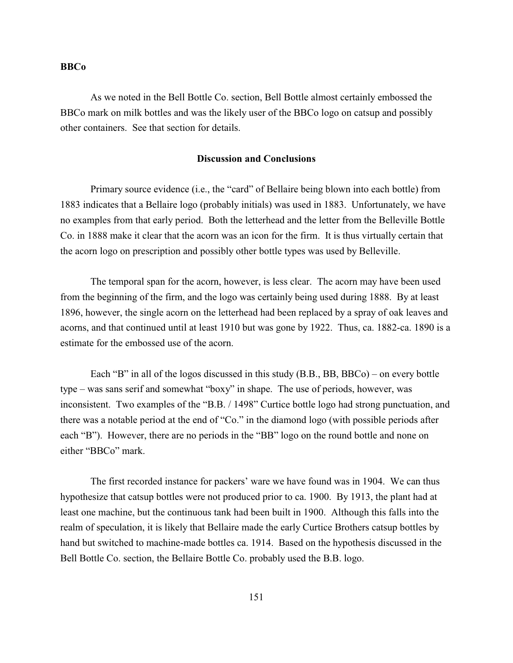#### **BBCo**

As we noted in the Bell Bottle Co. section, Bell Bottle almost certainly embossed the BBCo mark on milk bottles and was the likely user of the BBCo logo on catsup and possibly other containers. See that section for details.

### **Discussion and Conclusions**

Primary source evidence (i.e., the "card" of Bellaire being blown into each bottle) from 1883 indicates that a Bellaire logo (probably initials) was used in 1883. Unfortunately, we have no examples from that early period. Both the letterhead and the letter from the Belleville Bottle Co. in 1888 make it clear that the acorn was an icon for the firm. It is thus virtually certain that the acorn logo on prescription and possibly other bottle types was used by Belleville.

The temporal span for the acorn, however, is less clear. The acorn may have been used from the beginning of the firm, and the logo was certainly being used during 1888. By at least 1896, however, the single acorn on the letterhead had been replaced by a spray of oak leaves and acorns, and that continued until at least 1910 but was gone by 1922. Thus, ca. 1882-ca. 1890 is a estimate for the embossed use of the acorn.

Each "B" in all of the logos discussed in this study (B.B., BB, BBCo) – on every bottle type – was sans serif and somewhat "boxy" in shape. The use of periods, however, was inconsistent. Two examples of the "B.B. / 1498" Curtice bottle logo had strong punctuation, and there was a notable period at the end of "Co." in the diamond logo (with possible periods after each "B"). However, there are no periods in the "BB" logo on the round bottle and none on either "BBCo" mark.

The first recorded instance for packers' ware we have found was in 1904. We can thus hypothesize that catsup bottles were not produced prior to ca. 1900. By 1913, the plant had at least one machine, but the continuous tank had been built in 1900. Although this falls into the realm of speculation, it is likely that Bellaire made the early Curtice Brothers catsup bottles by hand but switched to machine-made bottles ca. 1914. Based on the hypothesis discussed in the Bell Bottle Co. section, the Bellaire Bottle Co. probably used the B.B. logo.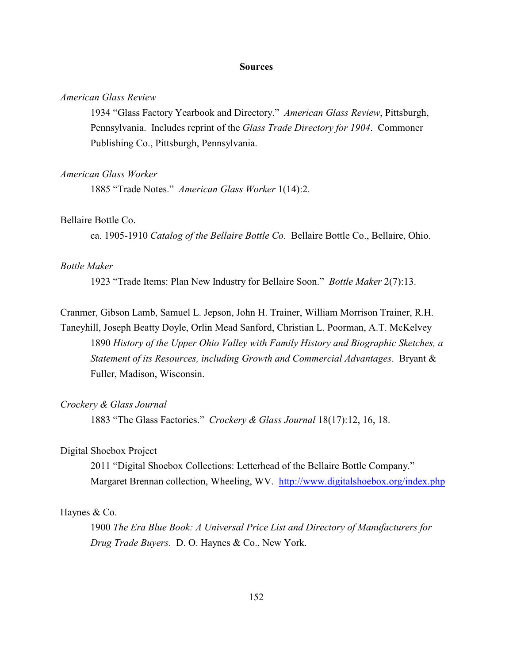#### **Sources**

### *American Glass Review*

1934 "Glass Factory Yearbook and Directory." *American Glass Review*, Pittsburgh, Pennsylvania. Includes reprint of the *Glass Trade Directory for 1904*. Commoner Publishing Co., Pittsburgh, Pennsylvania.

#### *American Glass Worker*

1885 "Trade Notes." *American Glass Worker* 1(14):2.

### Bellaire Bottle Co.

ca. 1905-1910 *Catalog of the Bellaire Bottle Co.* Bellaire Bottle Co., Bellaire, Ohio.

### *Bottle Maker*

1923 "Trade Items: Plan New Industry for Bellaire Soon." *Bottle Maker* 2(7):13.

Cranmer, Gibson Lamb, Samuel L. Jepson, John H. Trainer, William Morrison Trainer, R.H. Taneyhill, Joseph Beatty Doyle, Orlin Mead Sanford, Christian L. Poorman, A.T. McKelvey 1890 *History of the Upper Ohio Valley with Family History and Biographic Sketches, a Statement of its Resources, including Growth and Commercial Advantages*. Bryant & Fuller, Madison, Wisconsin.

### *Crockery & Glass Journal*

1883 "The Glass Factories." *Crockery & Glass Journal* 18(17):12, 16, 18.

### Digital Shoebox Project

2011 "Digital Shoebox Collections: Letterhead of the Bellaire Bottle Company." Margaret Brennan collection, Wheeling, WV. <http://www.digitalshoebox.org/index.php>

#### Haynes & Co.

1900 *The Era Blue Book: A Universal Price List and Directory of Manufacturers for Drug Trade Buyers*. D. O. Haynes & Co., New York.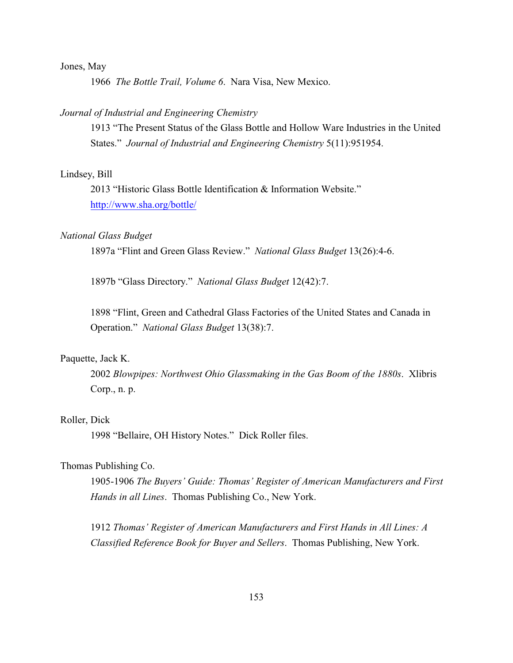### Jones, May

1966 *The Bottle Trail, Volume 6*. Nara Visa, New Mexico.

### *Journal of Industrial and Engineering Chemistry*

1913 "The Present Status of the Glass Bottle and Hollow Ware Industries in the United States." *Journal of Industrial and Engineering Chemistry* 5(11):951954.

#### Lindsey, Bill

2013 "Historic Glass Bottle Identification & Information Website." <http://www.sha.org/bottle/>

### *National Glass Budget*

1897a "Flint and Green Glass Review." *National Glass Budget* 13(26):4-6.

1897b "Glass Directory." *National Glass Budget* 12(42):7.

1898 "Flint, Green and Cathedral Glass Factories of the United States and Canada in Operation." *National Glass Budget* 13(38):7.

### Paquette, Jack K.

2002 *Blowpipes: Northwest Ohio Glassmaking in the Gas Boom of the 1880s*. Xlibris Corp., n. p.

### Roller, Dick

1998 "Bellaire, OH History Notes." Dick Roller files.

## Thomas Publishing Co.

1905-1906 *The Buyers' Guide: Thomas' Register of American Manufacturers and First Hands in all Lines*. Thomas Publishing Co., New York.

1912 *Thomas' Register of American Manufacturers and First Hands in All Lines: A Classified Reference Book for Buyer and Sellers*. Thomas Publishing, New York.